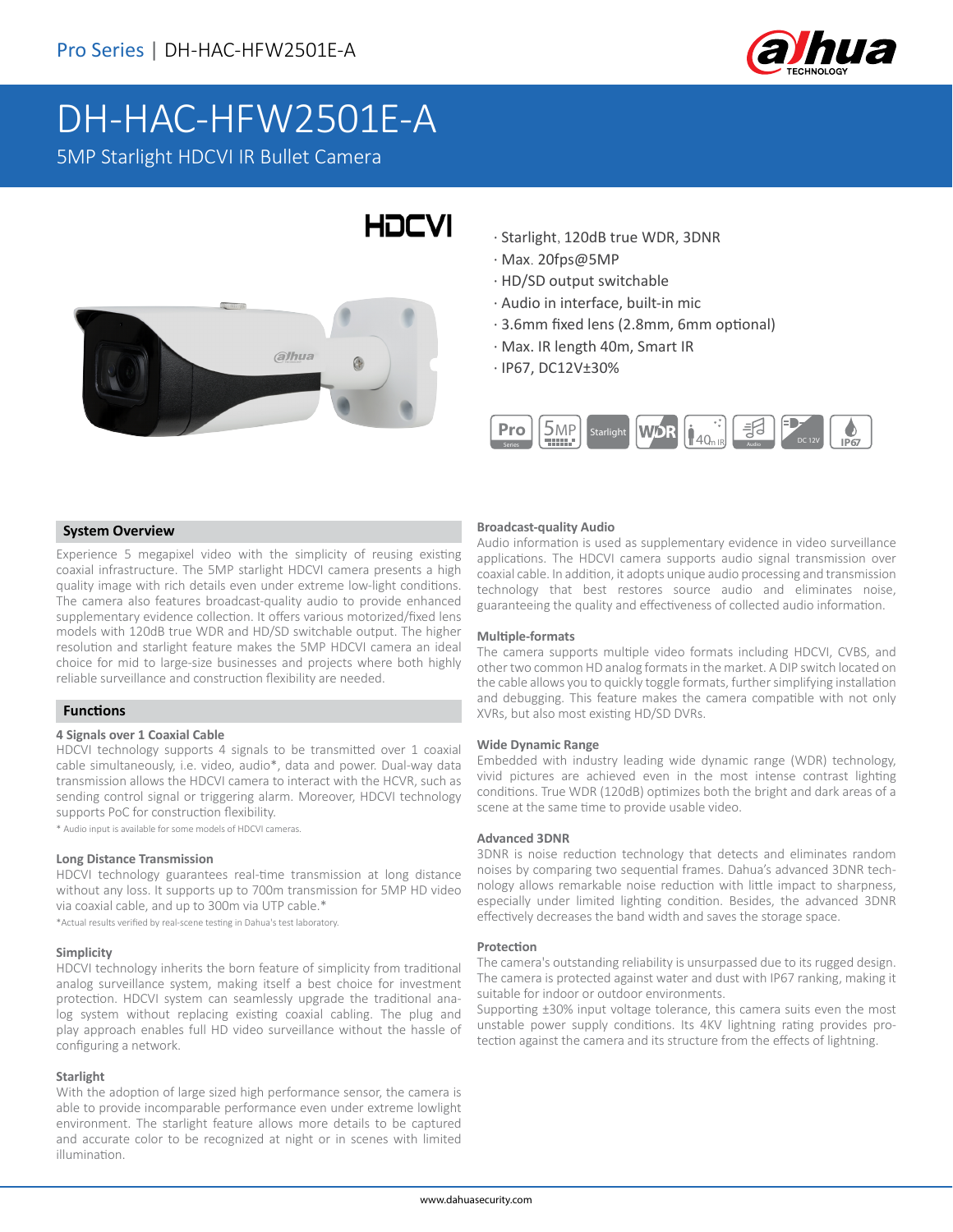

# DH-HAC-HFW2501E-A 5MP Starlight HDCVI IR Bullet Camera

# HOCVI



- · Starlight, 120dB true WDR, 3DNR
- · Max. 20fps@5MP
- · HD/SD output switchable
- · Audio in interface, built-in mic
- · 3.6mm fixed lens (2.8mm, 6mm optional)
- · Max. IR length 40m, Smart IR
- · IP67, DC12V±30%



### **System Overview**

Experience 5 megapixel video with the simplicity of reusing existing coaxial infrastructure. The 5MP starlight HDCVI camera presents a high quality image with rich details even under extreme low-light conditions. The camera also features broadcast-quality audio to provide enhanced supplementary evidence collection. It offers various motorized/fixed lens models with 120dB true WDR and HD/SD switchable output. The higher resolution and starlight feature makes the 5MP HDCVI camera an ideal choice for mid to large-size businesses and projects where both highly reliable surveillance and construction flexibility are needed.

### **Functions**

#### **4 Signals over 1 Coaxial Cable**

HDCVI technology supports 4 signals to be transmitted over 1 coaxial cable simultaneously, i.e. video, audio\*, data and power. Dual-way data transmission allows the HDCVI camera to interact with the HCVR, such as sending control signal or triggering alarm. Moreover, HDCVI technology supports PoC for construction flexibility.

\* Audio input is available for some models of HDCVI cameras.

#### **Long Distance Transmission**

HDCVI technology guarantees real-time transmission at long distance without any loss. It supports up to 700m transmission for 5MP HD video via coaxial cable, and up to 300m via UTP cable.\*

\*Actual results verified by real-scene testing in Dahua's test laboratory.

#### **Simplicity**

HDCVI technology inherits the born feature of simplicity from traditional analog surveillance system, making itself a best choice for investment protection. HDCVI system can seamlessly upgrade the traditional analog system without replacing existing coaxial cabling. The plug and play approach enables full HD video surveillance without the hassle of configuring a network.

#### **Starlight**

With the adoption of large sized high performance sensor, the camera is able to provide incomparable performance even under extreme lowlight environment. The starlight feature allows more details to be captured and accurate color to be recognized at night or in scenes with limited illumination.

#### **Broadcast-quality Audio**

Audio information is used as supplementary evidence in video surveillance applications. The HDCVI camera supports audio signal transmission over coaxial cable. In addition, it adopts unique audio processing and transmission technology that best restores source audio and eliminates noise, guaranteeing the quality and effectiveness of collected audio information.

#### **Multiple-formats**

The camera supports multiple video formats including HDCVI, CVBS, and other two common HD analog formats in the market. A DIP switch located on the cable allows you to quickly toggle formats, further simplifying installation and debugging. This feature makes the camera compatible with not only XVRs, but also most existing HD/SD DVRs.

#### **Wide Dynamic Range**

Embedded with industry leading wide dynamic range (WDR) technology, vivid pictures are achieved even in the most intense contrast lighting conditions. True WDR (120dB) optimizes both the bright and dark areas of a scene at the same time to provide usable video.

#### **Advanced 3DNR**

3DNR is noise reduction technology that detects and eliminates random noises by comparing two sequential frames. Dahua's advanced 3DNR technology allows remarkable noise reduction with little impact to sharpness, especially under limited lighting condition. Besides, the advanced 3DNR effectively decreases the band width and saves the storage space.

#### **Protection**

The camera's outstanding reliability is unsurpassed due to its rugged design. The camera is protected against water and dust with IP67 ranking, making it suitable for indoor or outdoor environments.

Supporting ±30% input voltage tolerance, this camera suits even the most unstable power supply conditions. Its 4KV lightning rating provides protection against the camera and its structure from the effects of lightning.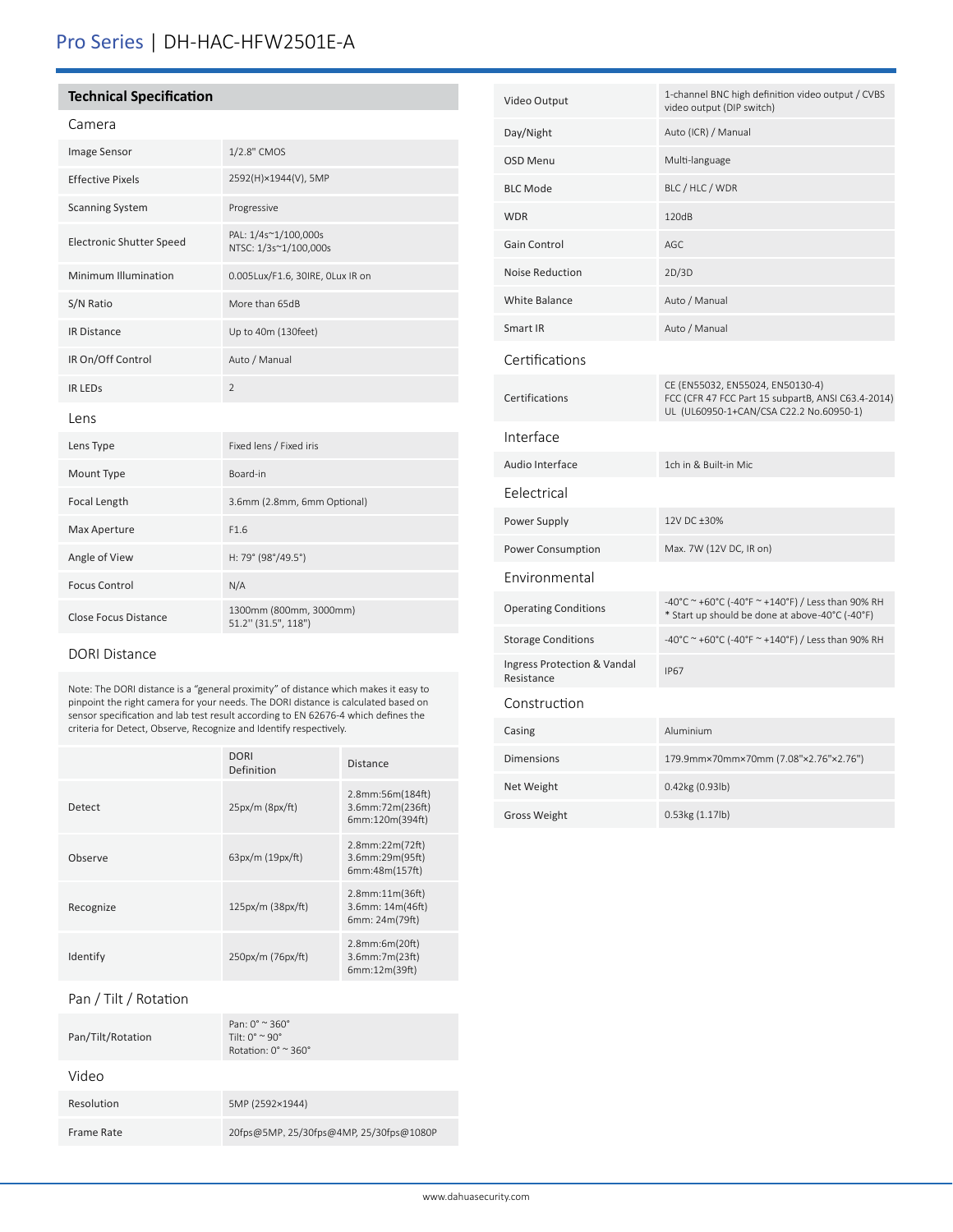# Pro Series | DH-HAC-HFW2501E-A

## **Technical Specification**

## Camera

| Image Sensor                    | 1/2.8" CMOS                                   |  |  |
|---------------------------------|-----------------------------------------------|--|--|
| <b>Effective Pixels</b>         | 2592(H)×1944(V), 5MP                          |  |  |
| <b>Scanning System</b>          | Progressive                                   |  |  |
| <b>Electronic Shutter Speed</b> | PAL: 1/4s~1/100,000s<br>NTSC: 1/3s~1/100,000s |  |  |
| Minimum Illumination            | 0.005Lux/F1.6, 30IRE, OLux IR on              |  |  |
| S/N Ratio                       | More than 65dB                                |  |  |
| <b>IR Distance</b>              | Up to 40m (130feet)                           |  |  |
| IR On/Off Control               | Auto / Manual                                 |  |  |
| <b>IR LEDS</b>                  | $\overline{2}$                                |  |  |
| Lens                            |                                               |  |  |
| Lens Type                       | Fixed lens / Fixed iris                       |  |  |
| Mount Type                      | Board-in                                      |  |  |
| Focal Length                    | 3.6mm (2.8mm, 6mm Optional)                   |  |  |
| Max Aperture                    | F1.6                                          |  |  |
| Angle of View                   | H: 79° (98°/49.5°)                            |  |  |
| <b>Focus Control</b>            | N/A                                           |  |  |
| <b>Close Focus Distance</b>     | 1300mm (800mm, 3000mm)<br>51.2" (31.5", 118") |  |  |

# DORI Distance

Note: The DORI distance is a "general proximity" of distance which makes it easy to pinpoint the right camera for your needs. The DORI distance is calculated based on sensor specification and lab test result according to EN 62676-4 which defines the criteria for Detect, Observe, Recognize and Identify respectively.

|           | <b>DORI</b><br>Definition | <b>Distance</b>                                             |
|-----------|---------------------------|-------------------------------------------------------------|
| Detect    | $25px/m$ ( $8px/ft$ )     | 2.8mm:56m(184ft)<br>3.6mm:72m(236ft)<br>6mm:120m(394ft)     |
| Observe   | 63px/m (19px/ft)          | $2.8$ mm: $22m(72ft)$<br>3.6mm:29m(95ft)<br>6mm:48m(157ft)  |
| Recognize | 125px/m (38px/ft)         | $2.8$ mm: $11m(36ft)$<br>3.6mm: 14m(46ft)<br>6mm: 24m(79ft) |
| Identify  | 250px/m (76px/ft)         | 2.8mm:6m(20ft)<br>$3.6$ mm: $7m(23ft)$<br>6mm:12m(39ft)     |

## Pan / Tilt / Rotation

| Pan: $0^\circ \approx 360^\circ$<br>Tilt: $0^{\circ} \approx 90^{\circ}$<br>Rotation: $0^\circ \approx 360^\circ$ |
|-------------------------------------------------------------------------------------------------------------------|
|                                                                                                                   |
| 5MP (2592×1944)                                                                                                   |
| 20fps@5MP, 25/30fps@4MP, 25/30fps@1080P                                                                           |
|                                                                                                                   |

| Video Output                              | 1-channel BNC high definition video output / CVBS<br>video output (DIP switch)                                                    |
|-------------------------------------------|-----------------------------------------------------------------------------------------------------------------------------------|
| Day/Night                                 | Auto (ICR) / Manual                                                                                                               |
| OSD Menu                                  | Multi-language                                                                                                                    |
| <b>BLC Mode</b>                           | BLC / HLC / WDR                                                                                                                   |
| <b>WDR</b>                                | 120dB                                                                                                                             |
| Gain Control                              | AGC                                                                                                                               |
| <b>Noise Reduction</b>                    | 2D/3D                                                                                                                             |
| <b>White Balance</b>                      | Auto / Manual                                                                                                                     |
| Smart IR                                  | Auto / Manual                                                                                                                     |
| Certifications                            |                                                                                                                                   |
| Certifications                            | CE (EN55032, EN55024, EN50130-4)<br>FCC (CFR 47 FCC Part 15 subpartB, ANSI C63.4-2014)<br>UL (UL60950-1+CAN/CSA C22.2 No.60950-1) |
| Interface                                 |                                                                                                                                   |
| Audio Interface                           | 1ch in & Built-in Mic                                                                                                             |
| Eelectrical                               |                                                                                                                                   |
| Power Supply                              | 12V DC ±30%                                                                                                                       |
| Power Consumption                         | Max. 7W (12V DC, IR on)                                                                                                           |
| Environmental                             |                                                                                                                                   |
| <b>Operating Conditions</b>               | -40°C ~ +60°C (-40°F ~ +140°F) / Less than 90% RH<br>* Start up should be done at above-40°C (-40°F)                              |
| <b>Storage Conditions</b>                 | -40°C ~ +60°C (-40°F ~ +140°F) / Less than 90% RH                                                                                 |
| Ingress Protection & Vandal<br>Resistance | <b>IP67</b>                                                                                                                       |
| Construction                              |                                                                                                                                   |
| Casing                                    | Aluminium                                                                                                                         |
| <b>Dimensions</b>                         | 179.9mm×70mm×70mm (7.08"×2.76"×2.76")                                                                                             |
| Net Weight                                | 0.42kg (0.93lb)                                                                                                                   |
| <b>Gross Weight</b>                       | 0.53kg (1.17lb)                                                                                                                   |